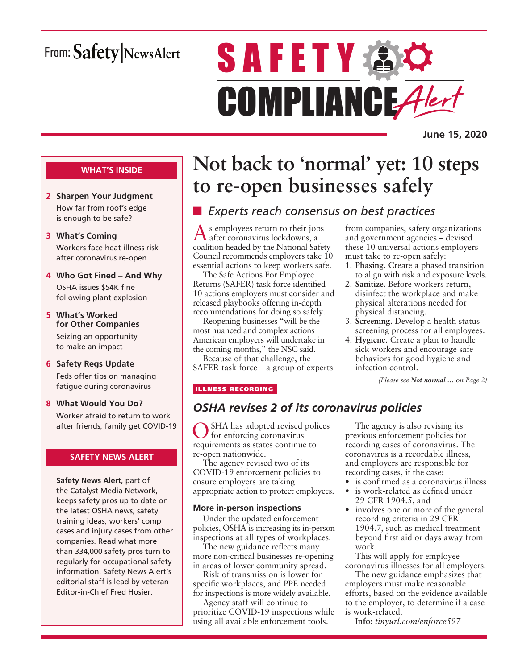# From: Safety NewsAlert

# **SAFETY AC** COMPLIANCE Alert

**June 15, 2020**

#### **WHAT'S INSIDE**

- **2 Sharpen Your Judgment** How far from roof's edge is enough to be safe?
- **3 What's Coming** Workers face heat illness risk after coronavirus re-open
- **4 Who Got Fined And Why** OSHA issues \$54K fine following plant explosion
- **5 What's Worked for Other Companies** Seizing an opportunity to make an impact
- **6 Safety Regs Update** Feds offer tips on managing fatigue during coronavirus
- **8 What Would You Do?** Worker afraid to return to work after friends, family get COVID-19

#### **SAFETY NEWS ALERT**

**Safety News Alert**, part of the Catalyst Media Network, keeps safety pros up to date on the latest OSHA news, safety training ideas, workers' comp cases and injury cases from other companies. Read what more than 334,000 safety pros turn to regularly for occupational safety information. Safety News Alert's editorial staff is lead by veteran Editor-in-Chief Fred Hosier.

# **Not back to 'normal' yet: 10 steps to re-open businesses safely**

# ■ *Experts reach consensus on best practices*

As employees return to their jobs after coronavirus lockdowns, a coalition headed by the National Safety Council recommends employers take 10 essential actions to keep workers safe.

The Safe Actions For Employee Returns (SAFER) task force identified 10 actions employers must consider and released playbooks offering in-depth recommendations for doing so safely.

Reopening businesses "will be the most nuanced and complex actions American employers will undertake in the coming months," the NSC said.

Because of that challenge, the SAFER task force – a group of experts from companies, safety organizations and government agencies – devised these 10 universal actions employers must take to re-open safely:

- 1. **Phasing**. Create a phased transition to align with risk and exposure levels.
- 2. **Sanitize**. Before workers return, disinfect the workplace and make physical alterations needed for physical distancing.
- 3. **Screening**. Develop a health status screening process for all employees.
- 4. **Hygiene**. Create a plan to handle sick workers and encourage safe behaviors for good hygiene and infection control.

*(Please see Not normal … on Page 2)*

#### ILLNESS RECORDING

### *OSHA revises 2 of its coronavirus policies*

SHA has adopted revised polices for enforcing coronavirus requirements as states continue to re-open nationwide.

The agency revised two of its COVID-19 enforcement policies to ensure employers are taking appropriate action to protect employees.

#### **More in-person inspections**

Under the updated enforcement policies, OSHA is increasing its in-person inspections at all types of workplaces.

The new guidance reflects many more non-critical businesses re-opening in areas of lower community spread.

Risk of transmission is lower for specific workplaces, and PPE needed for inspections is more widely available.

Agency staff will continue to prioritize COVID-19 inspections while using all available enforcement tools.

The agency is also revising its previous enforcement policies for recording cases of coronavirus. The coronavirus is a recordable illness, and employers are responsible for recording cases, if the case:

- is confirmed as a coronavirus illness
- is work-related as defined under 29 CFR 1904.5, and
- involves one or more of the general recording criteria in 29 CFR 1904.7, such as medical treatment beyond first aid or days away from work.

This will apply for employee coronavirus illnesses for all employers.

The new guidance emphasizes that employers must make reasonable efforts, based on the evidence available to the employer, to determine if a case is work-related.

**Info:** *tinyurl.com/enforce597*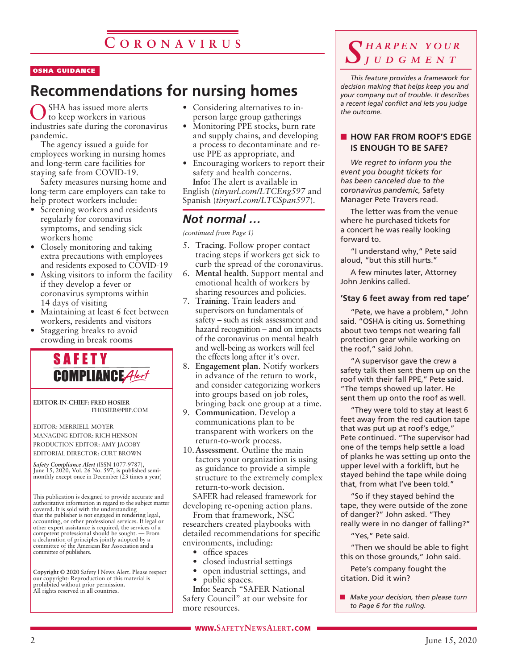#### OSHA GUIDANCE

# **Recommendations for nursing homes**

SHA has issued more alerts to keep workers in various industries safe during the coronavirus pandemic.

The agency issued a guide for employees working in nursing homes and long-term care facilities for staying safe from COVID-19.

Safety measures nursing home and long-term care employers can take to help protect workers include:

- Screening workers and residents regularly for coronavirus symptoms, and sending sick workers home
- Closely monitoring and taking extra precautions with employees and residents exposed to COVID-19
- Asking visitors to inform the facility if they develop a fever or coronavirus symptoms within 14 days of visiting
- Maintaining at least 6 feet between workers, residents and visitors
- Staggering breaks to avoid crowding in break rooms



**EDITOR-IN-CHIEF: FRED HOSIER** FHOSIER@PBP.COM

EDITOR: MERRIELL MOYER MANAGING EDITOR: RICH HENSON PRODUCTION EDITOR: AMY JACOBY EDITORIAL DIRECTOR: CURT BROWN

*Safety Compliance Alert* (ISSN 1077-9787), June 15, 2020, Vol. 26 No. 597, is published semimonthly except once in December (23 times a year)

This publication is designed to provide accurate and authoritative information in regard to the subject matter covered. It is sold with the understanding that the publisher is not engaged in rendering legal, accounting, or other professional services. If legal or other expert assistance is required, the services of a competent professional should be sought. — From a declaration of principles jointly adopted by a committee of the American Bar Association and a committee of publishers.

**Copyright © 2020** Safety | News Alert. Please respect our copyright: Reproduction of this material is prohibited without prior permission. All rights reserved in all countries.

- Considering alternatives to inperson large group gatherings
- Monitoring PPE stocks, burn rate and supply chains, and developing a process to decontaminate and reuse PPE as appropriate, and
- Encouraging workers to report their safety and health concerns.

**Info:** The alert is available in English (*tinyurl.com/LTCEng597* and Spanish (*tinyurl.com/LTCSpan597*).

### *Not normal …*

*(continued from Page 1)*

- 5. **Tracing**. Follow proper contact tracing steps if workers get sick to curb the spread of the coronavirus.
- 6. **Mental health**. Support mental and emotional health of workers by sharing resources and policies.
- 7. **Training**. Train leaders and supervisors on fundamentals of safety – such as risk assessment and hazard recognition – and on impacts of the coronavirus on mental health and well-being as workers will feel the effects long after it's over.
- 8. **Engagement plan**. Notify workers in advance of the return to work, and consider categorizing workers into groups based on job roles, bringing back one group at a time.
- 9. **Communication**. Develop a communications plan to be transparent with workers on the return-to-work process.
- 10.**Assessment**. Outline the main factors your organization is using as guidance to provide a simple structure to the extremely complex return-to-work decision.

SAFER had released framework for developing re-opening action plans.

From that framework, NSC researchers created playbooks with detailed recommendations for specific environments, including:

- office spaces
- closed industrial settings
- open industrial settings, and
- *public spaces.*

**Info:** Search "SAFER National Safety Council" at our website for more resources.

### *S h a r p e n y o u r j u d g m e n t*

*This feature provides a framework for decision making that helps keep you and your company out of trouble. It describes a recent legal conflict and lets you judge the outcome.*

#### **NOW FAR FROM ROOF'S EDGE IS ENOUGH TO BE SAFE?**

*We regret to inform you the event you bought tickets for has been canceled due to the coronavirus pandemic*, Safety Manager Pete Travers read.

The letter was from the venue where he purchased tickets for a concert he was really looking forward to.

"I understand why," Pete said aloud, "but this still hurts."

A few minutes later, Attorney John Jenkins called.

#### **'Stay 6 feet away from red tape'**

"Pete, we have a problem," John said. "OSHA is citing us. Something about two temps not wearing fall protection gear while working on the roof," said John.

"A supervisor gave the crew a safety talk then sent them up on the roof with their fall PPE," Pete said. "The temps showed up later. He sent them up onto the roof as well.

"They were told to stay at least 6 feet away from the red caution tape that was put up at roof's edge," Pete continued. "The supervisor had one of the temps help settle a load of planks he was setting up onto the upper level with a forklift, but he stayed behind the tape while doing that, from what I've been told."

"So if they stayed behind the tape, they were outside of the zone of danger?" John asked. "They really were in no danger of falling?"

"Yes," Pete said.

"Then we should be able to fight this on those grounds," John said.

Pete's company fought the citation. Did it win?

**n** *Make your decision, then please turn to Page 6 for the ruling.*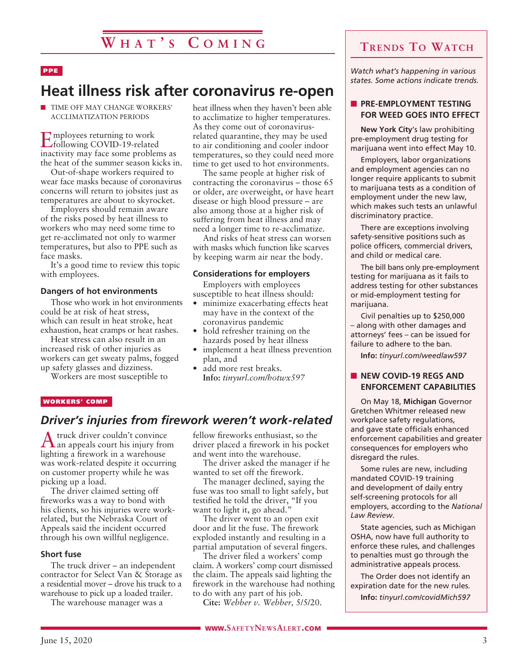#### PPE

# **Heat illness risk after coronavirus re-open**

**n** TIME OFF MAY CHANGE WORKERS' ACCLIMATIZATION PERIODS

Employees returning to work following COVID-19-related inactivity may face some problems as the heat of the summer season kicks in.

Out-of-shape workers required to wear face masks because of coronavirus concerns will return to jobsites just as temperatures are about to skyrocket.

Employers should remain aware of the risks posed by heat illness to workers who may need some time to get re-acclimated not only to warmer temperatures, but also to PPE such as face masks.

It's a good time to review this topic with employees.

#### **Dangers of hot environments**

Those who work in hot environments could be at risk of heat stress, which can result in heat stroke, heat exhaustion, heat cramps or heat rashes.

Heat stress can also result in an increased risk of other injuries as workers can get sweaty palms, fogged up safety glasses and dizziness.

Workers are most susceptible to

heat illness when they haven't been able to acclimatize to higher temperatures. As they come out of coronavirusrelated quarantine, they may be used to air conditioning and cooler indoor temperatures, so they could need more time to get used to hot environments.

The same people at higher risk of contracting the coronavirus – those 65 or older, are overweight, or have heart disease or high blood pressure – are also among those at a higher risk of suffering from heat illness and may need a longer time to re-acclimatize.

And risks of heat stress can worsen with masks which function like scarves by keeping warm air near the body.

#### **Considerations for employers**

Employers with employees susceptible to heat illness should:

- minimize exacerbating effects heat may have in the context of the coronavirus pandemic
- hold refresher training on the hazards posed by heat illness
- implement a heat illness prevention plan, and
- add more rest breaks. **Info:** *tinyurl.com/hotwx597*

#### WORKERS' COMP

### *Driver's injuries from firework weren't work-related*

Atruck driver couldn't convince an appeals court his injury from lighting a firework in a warehouse was work-related despite it occurring on customer property while he was picking up a load.

The driver claimed setting off fireworks was a way to bond with his clients, so his injuries were workrelated, but the Nebraska Court of Appeals said the incident occurred through his own willful negligence.

#### **Short fuse**

The truck driver – an independent contractor for Select Van & Storage as a residential mover – drove his truck to a warehouse to pick up a loaded trailer.

The warehouse manager was a

fellow fireworks enthusiast, so the driver placed a firework in his pocket and went into the warehouse.

The driver asked the manager if he wanted to set off the firework.

The manager declined, saying the fuse was too small to light safely, but testified he told the driver, "If you want to light it, go ahead."

The driver went to an open exit door and lit the fuse. The firework exploded instantly and resulting in a partial amputation of several fingers.

The driver filed a workers' comp claim. A workers' comp court dismissed the claim. The appeals said lighting the firework in the warehouse had nothing to do with any part of his job.

**Cite:** *Webber v. Webber,* 5/5/20.

### **Trends To Watch**

*Watch what's happening in various states. Some actions indicate trends.*

#### **N** PRE-EMPLOYMENT TESTING **FOR WEED GOES INTO EFFECT**

**New York City**'s law prohibiting pre-employment drug testing for marijuana went into effect May 10.

Employers, labor organizations and employment agencies can no longer require applicants to submit to marijuana tests as a condition of employment under the new law, which makes such tests an unlawful discriminatory practice.

There are exceptions involving safety-sensitive positions such as police officers, commercial drivers, and child or medical care.

The bill bans only pre-employment testing for marijuana as it fails to address testing for other substances or mid-employment testing for marijuana.

Civil penalties up to \$250,000 – along with other damages and attorneys' fees – can be issued for failure to adhere to the ban.

**Info:** *tinyurl.com/weedlaw597*

#### **NEW COVID-19 REGS AND ENFORCEMENT CAPABILITIES**

On May 18, **Michigan** Governor Gretchen Whitmer released new workplace safety regulations, and gave state officials enhanced enforcement capabilities and greater consequences for employers who disregard the rules.

Some rules are new, including mandated COVID-19 training and development of daily entry self-screening protocols for all employers, according to the *National Law Review*.

State agencies, such as Michigan OSHA, now have full authority to enforce these rules, and challenges to penalties must go through the administrative appeals process.

The Order does not identify an expiration date for the new rules. **Info:** *tinyurl.com/covidMich597*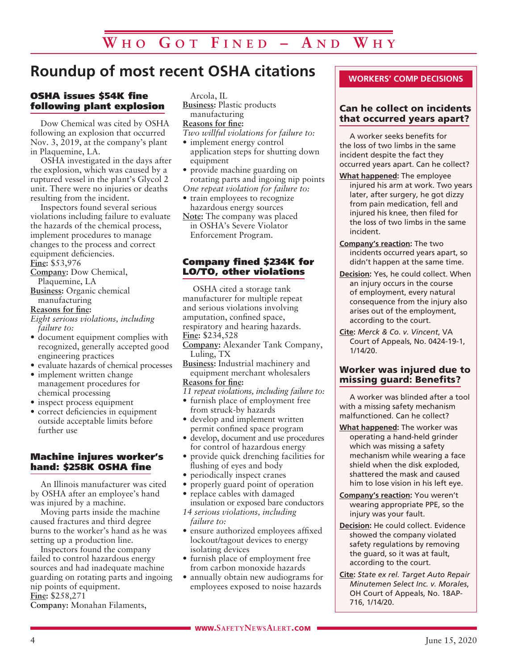# **Roundup of most recent OSHA citations**

#### OSHA issues \$54K fine following plant explosion

Dow Chemical was cited by OSHA following an explosion that occurred Nov. 3, 2019, at the company's plant in Plaquemine, LA.

OSHA investigated in the days after the explosion, which was caused by a ruptured vessel in the plant's Glycol 2 unit. There were no injuries or deaths resulting from the incident.

Inspectors found several serious violations including failure to evaluate the hazards of the chemical process, implement procedures to manage changes to the process and correct equipment deficiencies.

**Fine:** \$53,976 **Company:** Dow Chemical, Plaquemine, LA

**Business:** Organic chemical manufacturing

#### **Reasons for fine:**

*Eight serious violations, including failure to:*

- document equipment complies with recognized, generally accepted good engineering practices
- evaluate hazards of chemical processes
- implement written change management procedures for chemical processing
- inspect process equipment
- correct deficiencies in equipment outside acceptable limits before further use

#### Machine injures worker's hand: \$258K OSHA fine

An Illinois manufacturer was cited by OSHA after an employee's hand was injured by a machine.

Moving parts inside the machine caused fractures and third degree burns to the worker's hand as he was setting up a production line.

Inspectors found the company failed to control hazardous energy sources and had inadequate machine guarding on rotating parts and ingoing nip points of equipment. **Fine:** \$258,271

**Company:** Monahan Filaments,

Arcola, IL **Business:** Plastic products manufacturing

#### **Reasons for fine:**

*Two willful violations for failure to:*

- implement energy control application steps for shutting down equipment
- provide machine guarding on rotating parts and ingoing nip points *One repeat violation for failure to:*
- train employees to recognize hazardous energy sources
- **Note:** The company was placed in OSHA's Severe Violator Enforcement Program.

#### Company fined \$234K for LO/TO, other violations

OSHA cited a storage tank manufacturer for multiple repeat and serious violations involving amputation, confined space, respiratory and hearing hazards. **Fine:** \$234,528

**Company:** Alexander Tank Company, Luling, TX

- **Business:** Industrial machinery and equipment merchant wholesalers **Reasons for fine:**
- *11 repeat violations, including failure to:*
- furnish place of employment free from struck-by hazards
- develop and implement written permit confined space program
- develop, document and use procedures for control of hazardous energy
- provide quick drenching facilities for flushing of eyes and body
- periodically inspect cranes
- properly guard point of operation
- replace cables with damaged
- insulation or exposed bare conductors *14 serious violations, including failure to:*
- ensure authorized employees affixed lockout/tagout devices to energy isolating devices
- furnish place of employment free from carbon monoxide hazards
- annually obtain new audiograms for employees exposed to noise hazards

#### **WORKERS' COMP DECISIONS**

#### Can he collect on incidents that occurred years apart?

A worker seeks benefits for the loss of two limbs in the same incident despite the fact they occurred years apart. Can he collect?

- **What happened:** The employee injured his arm at work. Two years later, after surgery, he got dizzy from pain medication, fell and injured his knee, then filed for the loss of two limbs in the same incident.
- **Company's reaction:** The two incidents occurred years apart, so didn't happen at the same time.
- **Decision:** Yes, he could collect. When an injury occurs in the course of employment, every natural consequence from the injury also arises out of the employment, according to the court.
- **Cite:** *Merck & Co. v. Vincent*, VA Court of Appeals, No. 0424-19-1, 1/14/20.

#### Worker was injured due to missing guard: Benefits?

A worker was blinded after a tool with a missing safety mechanism malfunctioned. Can he collect?

- **What happened:** The worker was operating a hand-held grinder which was missing a safety mechanism while wearing a face shield when the disk exploded, shattered the mask and caused him to lose vision in his left eye.
- **Company's reaction:** You weren't wearing appropriate PPE, so the injury was your fault.
- **Decision:** He could collect. Evidence showed the company violated safety regulations by removing the guard, so it was at fault, according to the court.
- **Cite:** *State ex rel. Target Auto Repair Minutemen Select Inc. v. Morales*, OH Court of Appeals, No. 18AP-716, 1/14/20.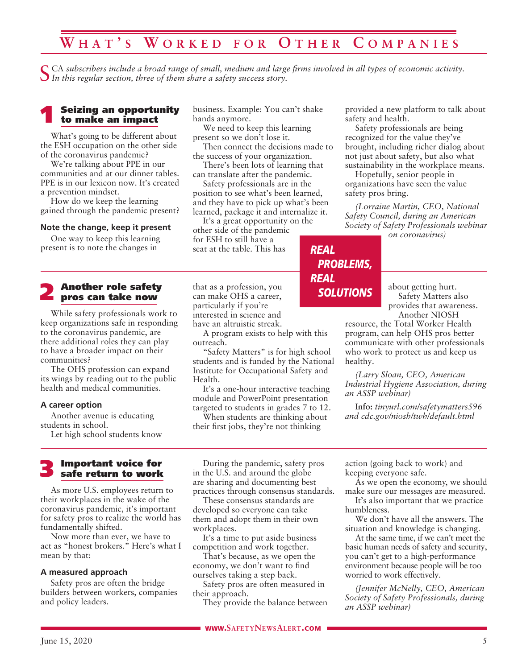# **W h a t ' s W o r k e d f o r O t h e r C o m p a n i e s**

CA subscribers include a broad range of small, medium and large firms involved in all types of economic activity. *In this regular section, three of them share a safety success story.*

#### **Seizing an opportunity** to make an impact

What's going to be different about the ESH occupation on the other side of the coronavirus pandemic?

We're talking about PPE in our communities and at our dinner tables. PPE is in our lexicon now. It's created a prevention mindset.

How do we keep the learning gained through the pandemic present?

#### **Note the change, keep it present**

One way to keep this learning present is to note the changes in

#### **Another role safety** pros can take now

While safety professionals work to keep organizations safe in responding to the coronavirus pandemic, are there additional roles they can play to have a broader impact on their communities?

The OHS profession can expand its wings by reading out to the public health and medical communities.

#### **A career option**

Another avenue is educating students in school.

Let high school students know

# 3 Important voice for safe return to work

As more U.S. employees return to their workplaces in the wake of the coronavirus pandemic, it's important for safety pros to realize the world has fundamentally shifted.

Now more than ever, we have to act as "honest brokers." Here's what I mean by that:

#### **A measured approach**

Safety pros are often the bridge builders between workers, companies and policy leaders.

business. Example: You can't shake hands anymore.

We need to keep this learning present so we don't lose it.

Then connect the decisions made to the success of your organization.

There's been lots of learning that can translate after the pandemic.

Safety professionals are in the position to see what's been learned, and they have to pick up what's been learned, package it and internalize it.

It's a great opportunity on the other side of the pandemic for ESH to still have a seat at the table. This has

that as a profession, you can make OHS a career, particularly if you're interested in science and have an altruistic streak.

A program exists to help with this outreach.

"Safety Matters" is for high school students and is funded by the National Institute for Occupational Safety and Health.

It's a one-hour interactive teaching module and PowerPoint presentation targeted to students in grades 7 to 12.

When students are thinking about their first jobs, they're not thinking

provided a new platform to talk about safety and health.

Safety professionals are being recognized for the value they've brought, including richer dialog about not just about safety, but also what sustainability in the workplace means.

Hopefully, senior people in organizations have seen the value safety pros bring.

*(Lorraine Martin, CEO, National Safety Council, during an American Society of Safety Professionals webinar on coronavirus)*

*REAL PROBLEMS, REAL SOLUTIONS*

about getting hurt. Safety Matters also provides that awareness. Another NIOSH

resource, the Total Worker Health program, can help OHS pros better communicate with other professionals who work to protect us and keep us healthy.

*(Larry Sloan, CEO, American Industrial Hygiene Association, during an ASSP webinar)*

**Info:** *tinyurl.com/safetymatters596 and cdc.gov/niosh/twh/default.html*

During the pandemic, safety pros in the U.S. and around the globe are sharing and documenting best practices through consensus standards.

These consensus standards are developed so everyone can take them and adopt them in their own workplaces.

It's a time to put aside business competition and work together.

That's because, as we open the economy, we don't want to find ourselves taking a step back.

Safety pros are often measured in their approach.

They provide the balance between

action (going back to work) and keeping everyone safe.

As we open the economy, we should make sure our messages are measured.

It's also important that we practice humbleness.

We don't have all the answers. The situation and knowledge is changing.

At the same time, if we can't meet the basic human needs of safety and security, you can't get to a high-performance environment because people will be too worried to work effectively.

*(Jennifer McNelly, CEO, American Society of Safety Professionals, during an ASSP webinar)*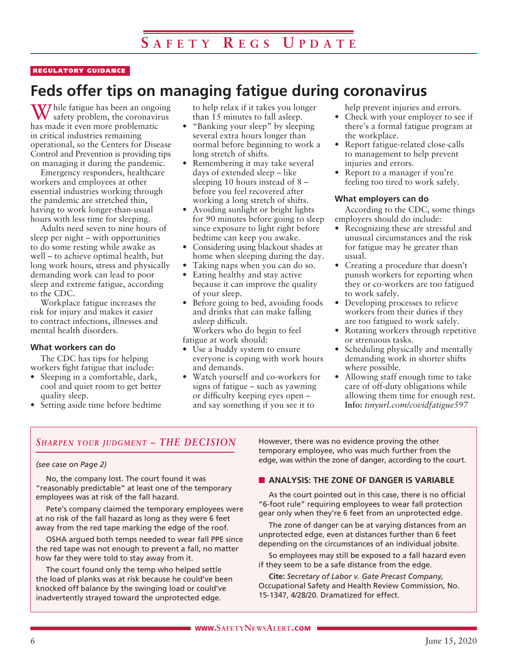#### REGULATORY GUIDANCE

# **Feds offer tips on managing fatigue during coronavirus**

V7 hile fatigue has been an ongoing safety problem, the coronavirus has made it even more problematic in critical industries remaining operational, so the Centers for Disease Control and Prevention is providing tips on managing it during the pandemic.

Emergency responders, healthcare workers and employees at other essential industries working through the pandemic are stretched thin, having to work longer-than-usual hours with less time for sleeping.

Adults need seven to nine hours of sleep per night – with opportunities to do some resting while awake as well – to achieve optimal health, but long work hours, stress and physically demanding work can lead to poor sleep and extreme fatigue, according to the CDC.

Workplace fatigue increases the risk for injury and makes it easier to contract infections, illnesses and mental health disorders.

#### **What workers can do**

The CDC has tips for helping workers fight fatigue that include:

- Sleeping in a comfortable, dark, cool and quiet room to get better quality sleep.
- Setting aside time before bedtime

to help relax if it takes you longer than 15 minutes to fall asleep.

- "Banking your sleep" by sleeping several extra hours longer than normal before beginning to work a long stretch of shifts.
- Remembering it may take several days of extended sleep – like sleeping 10 hours instead of 8 – before you feel recovered after working a long stretch of shifts.
- Avoiding sunlight or bright lights for 90 minutes before going to sleep since exposure to light right before bedtime can keep you awake.
- Considering using blackout shades at home when sleeping during the day.
- Taking naps when you can do so.
- Eating healthy and stay active because it can improve the quality of your sleep.
- Before going to bed, avoiding foods and drinks that can make falling asleep difficult. Workers who do begin to feel

fatigue at work should:

- Use a buddy system to ensure everyone is coping with work hours and demands.
- Watch yourself and co-workers for signs of fatigue – such as yawning or difficulty keeping eyes open – and say something if you see it to

help prevent injuries and errors.

- Check with your employer to see if there's a formal fatigue program at the workplace.
- Report fatigue-related close-calls to management to help prevent injuries and errors.
- Report to a manager if you're feeling too tired to work safely.

#### **What employers can do**

According to the CDC, some things employers should do include:

- Recognizing these are stressful and unusual circumstances and the risk for fatigue may be greater than usual.
- Creating a procedure that doesn't punish workers for reporting when they or co-workers are too fatigued to work safely.
- Developing processes to relieve workers from their duties if they are too fatigued to work safely.
- Rotating workers through repetitive or strenuous tasks.
- Scheduling physically and mentally demanding work in shorter shifts where possible.
- Allowing staff enough time to take care of off-duty obligations while allowing them time for enough rest. **Info:** *tinyurl.com/covidfatigue597*

#### *Sharpen your judgment – THE DECISION*

#### *(see case on Page 2)*

No, the company lost. The court found it was "reasonably predictable" at least one of the temporary employees was at risk of the fall hazard.

Pete's company claimed the temporary employees were at no risk of the fall hazard as long as they were 6 feet away from the red tape marking the edge of the roof.

OSHA argued both temps needed to wear fall PPE since the red tape was not enough to prevent a fall, no matter how far they were told to stay away from it.

The court found only the temp who helped settle the load of planks was at risk because he could've been knocked off balance by the swinging load or could've inadvertently strayed toward the unprotected edge.

However, there was no evidence proving the other temporary employee, who was much further from the edge, was within the zone of danger, according to the court.

#### **N** ANALYSIS: THE ZONE OF DANGER IS VARIABLE

As the court pointed out in this case, there is no official "6-foot rule" requiring employees to wear fall protection gear only when they're 6 feet from an unprotected edge.

The zone of danger can be at varying distances from an unprotected edge, even at distances further than 6 feet depending on the circumstances of an individual jobsite.

So employees may still be exposed to a fall hazard even if they seem to be a safe distance from the edge.

**Cite:** *Secretary of Labor v. Gate Precast Company,* Occupational Safety and Health Review Commission, No. 15-1347, 4/28/20. Dramatized for effect.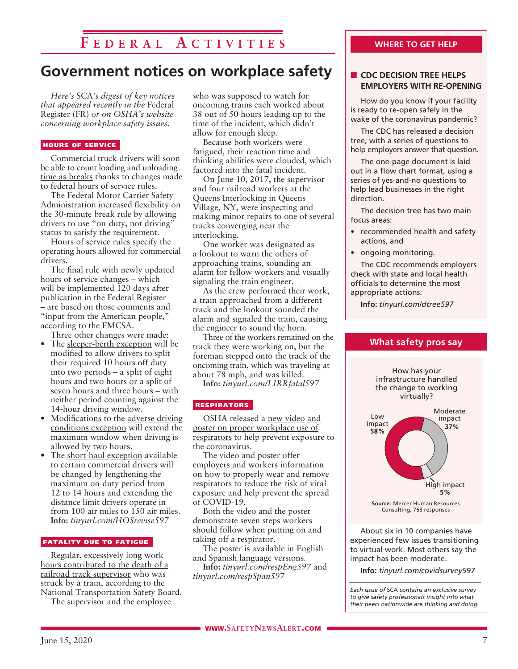# **F e d e r a l A c t i v i t i e s**

# **Government notices on workplace safety**

*Here's* SCA*'s digest of key notices that appeared recently in the* Federal Register (FR) *or on OSHA's website concerning workplace safety issues.* 

#### HOURS OF SERVICE

Commercial truck drivers will soon be able to count loading and unloading time as breaks thanks to changes made to federal hours of service rules.

The Federal Motor Carrier Safety Administration increased flexibility on the 30-minute break rule by allowing drivers to use "on-duty, not driving" status to satisfy the requirement.

Hours of service rules specify the operating hours allowed for commercial drivers.

The final rule with newly updated hours of service changes – which will be implemented 120 days after publication in the Federal Register – are based on those comments and "input from the American people," according to the FMCSA.

Three other changes were made:

- The sleeper-berth exception will be modified to allow drivers to split their required 10 hours off duty into two periods – a split of eight hours and two hours or a split of seven hours and three hours – with neither period counting against the 14-hour driving window.
- Modifications to the adverse driving conditions exception will extend the maximum window when driving is allowed by two hours.
- The short-haul exception available to certain commercial drivers will be changed by lengthening the maximum on-duty period from 12 to 14 hours and extending the distance limit drivers operate in from 100 air miles to 150 air miles. **Info:** *tinyurl.com/HOSrevise597*

#### FATALITY DUE TO FATIGUE

Regular, excessively long work hours contributed to the death of a railroad track supervisor who was struck by a train, according to the National Transportation Safety Board.

The supervisor and the employee

who was supposed to watch for oncoming trains each worked about 38 out of 50 hours leading up to the time of the incident, which didn't allow for enough sleep.

Because both workers were fatigued, their reaction time and thinking abilities were clouded, which factored into the fatal incident.

On June 10, 2017, the supervisor and four railroad workers at the Queens Interlocking in Queens Village, NY, were inspecting and making minor repairs to one of several tracks converging near the interlocking.

One worker was designated as a lookout to warn the others of approaching trains, sounding an alarm for fellow workers and visually signaling the train engineer.

As the crew performed their work, a train approached from a different track and the lookout sounded the alarm and signaled the train, causing the engineer to sound the horn.

Three of the workers remained on the track they were working on, but the foreman stepped onto the track of the oncoming train, which was traveling at about 78 mph, and was killed.

**Info:** *tinyurl.com/LIRRfatal597*

#### RESPIRATORS

OSHA released a new video and poster on proper workplace use of respirators to help prevent exposure to the coronavirus.

The video and poster offer employers and workers information on how to properly wear and remove respirators to reduce the risk of viral exposure and help prevent the spread of COVID-19.

Both the video and the poster demonstrate seven steps workers should follow when putting on and taking off a respirator.

The poster is available in English and Spanish language versions.

**Info:** *tinyurl.com/respEng597* and *tinyurl.com/respSpan597*

#### **WHERE TO GET HELP**

#### **n** CDC DECISION TREE HELPS **EMPLOYERS WITH RE-OPENING**

How do you know if your facility is ready to re-open safely in the wake of the coronavirus pandemic?

The CDC has released a decision tree, with a series of questions to help employers answer that question.

The one-page document is laid out in a flow chart format, using a series of yes-and-no questions to help lead businesses in the right direction.

The decision tree has two main focus areas:

- recommended health and safety actions, and
- ongoing monitoring.

The CDC recommends employers check with state and local health officials to determine the most appropriate actions.

**Info:** *tinyurl.com/dtree597*



About six in 10 companies have experienced few issues transitioning to virtual work. Most others say the impact has been moderate.

**Info:** *tinyurl.com/covidsurvey597*

*Each issue of* SCA *contains an exclusive survey to give safety professionals insight into what their peers nationwide are thinking and doing.*